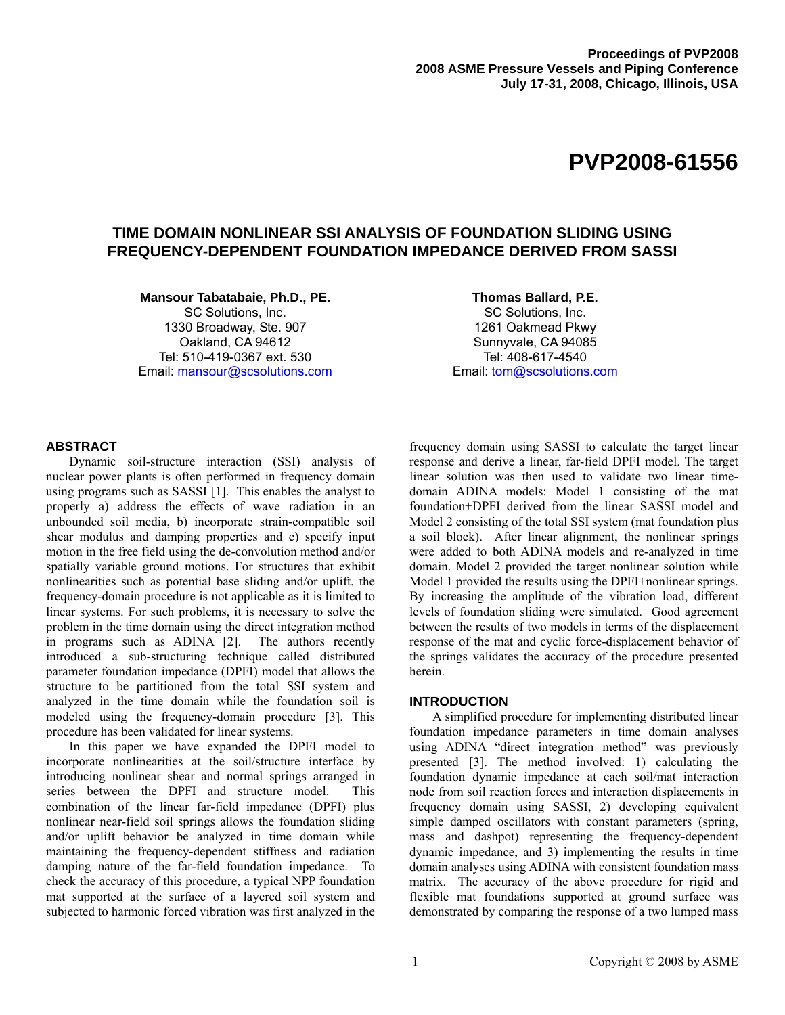# **PVP2008-61556**

# **TIME DOMAIN NONLINEAR SSI ANALYSIS OF FOUNDATION SLIDING USING FREQUENCY-DEPENDENT FOUNDATION IMPEDANCE DERIVED FROM SASSI**

**Mansour Tabatabaie, Ph.D., PE.**  SC Solutions, Inc.

1330 Broadway, Ste. 907 Oakland, CA 94612 Tel: 510-419-0367 ext. 530 Email: mansour@scsolutions.com

**Thomas Ballard, P.E.**  SC Solutions, Inc. 1261 Oakmead Pkwy Sunnyvale, CA 94085 Tel: 408-617-4540 Email: tom@scsolutions.com

# **ABSTRACT**

Dynamic soil-structure interaction (SSI) analysis of nuclear power plants is often performed in frequency domain using programs such as SASSI [1]. This enables the analyst to properly a) address the effects of wave radiation in an unbounded soil media, b) incorporate strain-compatible soil shear modulus and damping properties and c) specify input motion in the free field using the de-convolution method and/or spatially variable ground motions. For structures that exhibit nonlinearities such as potential base sliding and/or uplift, the frequency-domain procedure is not applicable as it is limited to linear systems. For such problems, it is necessary to solve the problem in the time domain using the direct integration method in programs such as ADINA [2]. The authors recently introduced a sub-structuring technique called distributed parameter foundation impedance (DPFI) model that allows the structure to be partitioned from the total SSI system and analyzed in the time domain while the foundation soil is modeled using the frequency-domain procedure [3]. This procedure has been validated for linear systems.

In this paper we have expanded the DPFI model to incorporate nonlinearities at the soil/structure interface by introducing nonlinear shear and normal springs arranged in series between the DPFI and structure model. This combination of the linear far-field impedance (DPFI) plus nonlinear near-field soil springs allows the foundation sliding and/or uplift behavior be analyzed in time domain while maintaining the frequency-dependent stiffness and radiation damping nature of the far-field foundation impedance. To check the accuracy of this procedure, a typical NPP foundation mat supported at the surface of a layered soil system and subjected to harmonic forced vibration was first analyzed in the

frequency domain using SASSI to calculate the target linear response and derive a linear, far-field DPFI model. The target linear solution was then used to validate two linear timedomain ADINA models: Model 1 consisting of the mat foundation+DPFI derived from the linear SASSI model and Model 2 consisting of the total SSI system (mat foundation plus a soil block). After linear alignment, the nonlinear springs were added to both ADINA models and re-analyzed in time domain. Model 2 provided the target nonlinear solution while Model 1 provided the results using the DPFI+nonlinear springs. By increasing the amplitude of the vibration load, different levels of foundation sliding were simulated. Good agreement between the results of two models in terms of the displacement response of the mat and cyclic force-displacement behavior of the springs validates the accuracy of the procedure presented herein.

#### **INTRODUCTION**

A simplified procedure for implementing distributed linear foundation impedance parameters in time domain analyses using ADINA "direct integration method" was previously presented [3]. The method involved: 1) calculating the foundation dynamic impedance at each soil/mat interaction node from soil reaction forces and interaction displacements in frequency domain using SASSI, 2) developing equivalent simple damped oscillators with constant parameters (spring, mass and dashpot) representing the frequency-dependent dynamic impedance, and 3) implementing the results in time domain analyses using ADINA with consistent foundation mass matrix. The accuracy of the above procedure for rigid and flexible mat foundations supported at ground surface was demonstrated by comparing the response of a two lumped mass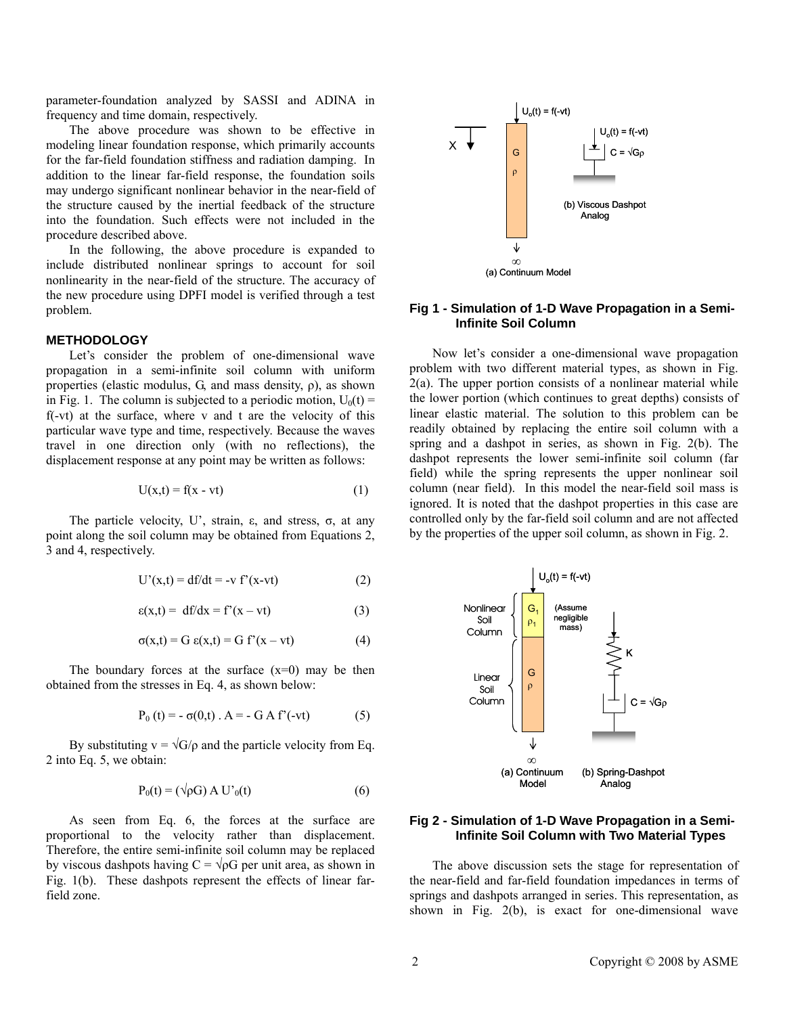parameter-foundation analyzed by SASSI and ADINA in frequency and time domain, respectively.

The above procedure was shown to be effective in modeling linear foundation response, which primarily accounts for the far-field foundation stiffness and radiation damping. In addition to the linear far-field response, the foundation soils may undergo significant nonlinear behavior in the near-field of the structure caused by the inertial feedback of the structure into the foundation. Such effects were not included in the procedure described above.

In the following, the above procedure is expanded to include distributed nonlinear springs to account for soil nonlinearity in the near-field of the structure. The accuracy of the new procedure using DPFI model is verified through a test problem.

# **METHODOLOGY**

Let's consider the problem of one-dimensional wave propagation in a semi-infinite soil column with uniform properties (elastic modulus, G, and mass density, ρ), as shown in Fig. 1. The column is subjected to a periodic motion,  $U_0(t)$  = f(-vt) at the surface, where v and t are the velocity of this particular wave type and time, respectively. Because the waves travel in one direction only (with no reflections), the displacement response at any point may be written as follows:

$$
U(x,t) = f(x - vt)
$$
 (1)

The particle velocity, U', strain, ε, and stress,  $\sigma$ , at any point along the soil column may be obtained from Equations 2, 3 and 4, respectively.

$$
U'(x,t) = df/dt = -v f'(x-vt)
$$
 (2)

$$
\varepsilon(x,t) = df/dx = f'(x - vt) \tag{3}
$$

$$
\sigma(x,t) = G \varepsilon(x,t) = G f'(x - vt) \tag{4}
$$

The boundary forces at the surface  $(x=0)$  may be then obtained from the stresses in Eq. 4, as shown below:

$$
P_0(t) = -\sigma(0,t) \cdot A = -G A f'(-vt) \tag{5}
$$

By substituting  $v = \sqrt{G/\rho}$  and the particle velocity from Eq. 2 into Eq. 5, we obtain:

$$
P_0(t) = (\sqrt{\rho}G) A U'_{0}(t)
$$
 (6)

As seen from Eq. 6, the forces at the surface are proportional to the velocity rather than displacement. Therefore, the entire semi-infinite soil column may be replaced by viscous dashpots having  $C = \sqrt{\rho}G$  per unit area, as shown in Fig. 1(b). These dashpots represent the effects of linear farfield zone.



#### **Fig 1 - Simulation of 1-D Wave Propagation in a Semi-Infinite Soil Column**

Now let's consider a one-dimensional wave propagation problem with two different material types, as shown in Fig.  $2(a)$ . The upper portion consists of a nonlinear material while the lower portion (which continues to great depths) consists of linear elastic material. The solution to this problem can be readily obtained by replacing the entire soil column with a spring and a dashpot in series, as shown in Fig. 2(b). The dashpot represents the lower semi-infinite soil column (far field) while the spring represents the upper nonlinear soil column (near field). In this model the near-field soil mass is ignored. It is noted that the dashpot properties in this case are controlled only by the far-field soil column and are not affected by the properties of the upper soil column, as shown in Fig. 2.



### **Fig 2 - Simulation of 1-D Wave Propagation in a Semi-Infinite Soil Column with Two Material Types**

The above discussion sets the stage for representation of the near-field and far-field foundation impedances in terms of springs and dashpots arranged in series. This representation, as shown in Fig. 2(b), is exact for one-dimensional wave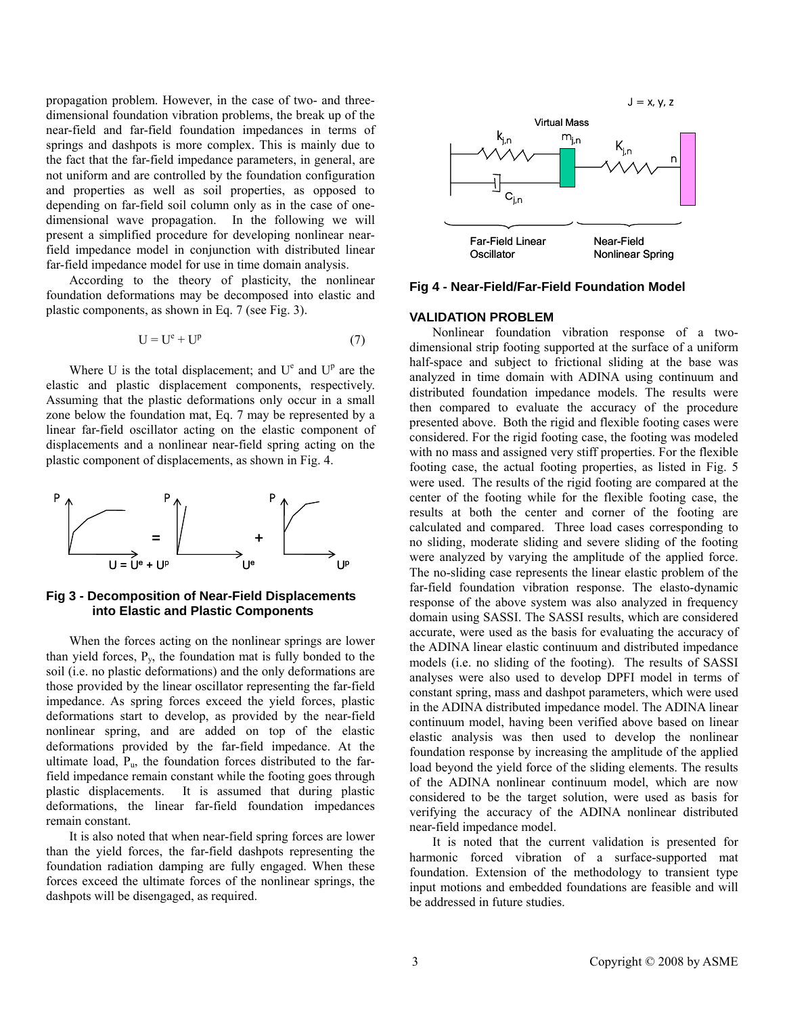propagation problem. However, in the case of two- and threedimensional foundation vibration problems, the break up of the near-field and far-field foundation impedances in terms of springs and dashpots is more complex. This is mainly due to the fact that the far-field impedance parameters, in general, are not uniform and are controlled by the foundation configuration and properties as well as soil properties, as opposed to depending on far-field soil column only as in the case of onedimensional wave propagation. In the following we will present a simplified procedure for developing nonlinear nearfield impedance model in conjunction with distributed linear far-field impedance model for use in time domain analysis.

According to the theory of plasticity, the nonlinear foundation deformations may be decomposed into elastic and plastic components, as shown in Eq. 7 (see Fig. 3).

$$
U = Ue + Up
$$
 (7)

Where U is the total displacement; and  $U^e$  and  $U^p$  are the elastic and plastic displacement components, respectively. Assuming that the plastic deformations only occur in a small zone below the foundation mat, Eq. 7 may be represented by a linear far-field oscillator acting on the elastic component of displacements and a nonlinear near-field spring acting on the plastic component of displacements, as shown in Fig. 4.



# **Fig 3 - Decomposition of Near-Field Displacements into Elastic and Plastic Components**

When the forces acting on the nonlinear springs are lower than yield forces,  $P_v$ , the foundation mat is fully bonded to the soil (i.e. no plastic deformations) and the only deformations are those provided by the linear oscillator representing the far-field impedance. As spring forces exceed the yield forces, plastic deformations start to develop, as provided by the near-field nonlinear spring, and are added on top of the elastic deformations provided by the far-field impedance. At the ultimate load,  $P_u$ , the foundation forces distributed to the farfield impedance remain constant while the footing goes through plastic displacements. It is assumed that during plastic deformations, the linear far-field foundation impedances remain constant.

It is also noted that when near-field spring forces are lower than the yield forces, the far-field dashpots representing the foundation radiation damping are fully engaged. When these forces exceed the ultimate forces of the nonlinear springs, the dashpots will be disengaged, as required.



**Fig 4 - Near-Field/Far-Field Foundation Model** 

#### **VALIDATION PROBLEM**

Nonlinear foundation vibration response of a twodimensional strip footing supported at the surface of a uniform half-space and subject to frictional sliding at the base was analyzed in time domain with ADINA using continuum and distributed foundation impedance models. The results were then compared to evaluate the accuracy of the procedure presented above. Both the rigid and flexible footing cases were considered. For the rigid footing case, the footing was modeled with no mass and assigned very stiff properties. For the flexible footing case, the actual footing properties, as listed in Fig. 5 were used. The results of the rigid footing are compared at the center of the footing while for the flexible footing case, the results at both the center and corner of the footing are calculated and compared. Three load cases corresponding to no sliding, moderate sliding and severe sliding of the footing were analyzed by varying the amplitude of the applied force. The no-sliding case represents the linear elastic problem of the far-field foundation vibration response. The elasto-dynamic response of the above system was also analyzed in frequency domain using SASSI. The SASSI results, which are considered accurate, were used as the basis for evaluating the accuracy of the ADINA linear elastic continuum and distributed impedance models (i.e. no sliding of the footing). The results of SASSI analyses were also used to develop DPFI model in terms of constant spring, mass and dashpot parameters, which were used in the ADINA distributed impedance model. The ADINA linear continuum model, having been verified above based on linear elastic analysis was then used to develop the nonlinear foundation response by increasing the amplitude of the applied load beyond the yield force of the sliding elements. The results of the ADINA nonlinear continuum model, which are now considered to be the target solution, were used as basis for verifying the accuracy of the ADINA nonlinear distributed near-field impedance model.

It is noted that the current validation is presented for harmonic forced vibration of a surface-supported mat foundation. Extension of the methodology to transient type input motions and embedded foundations are feasible and will be addressed in future studies.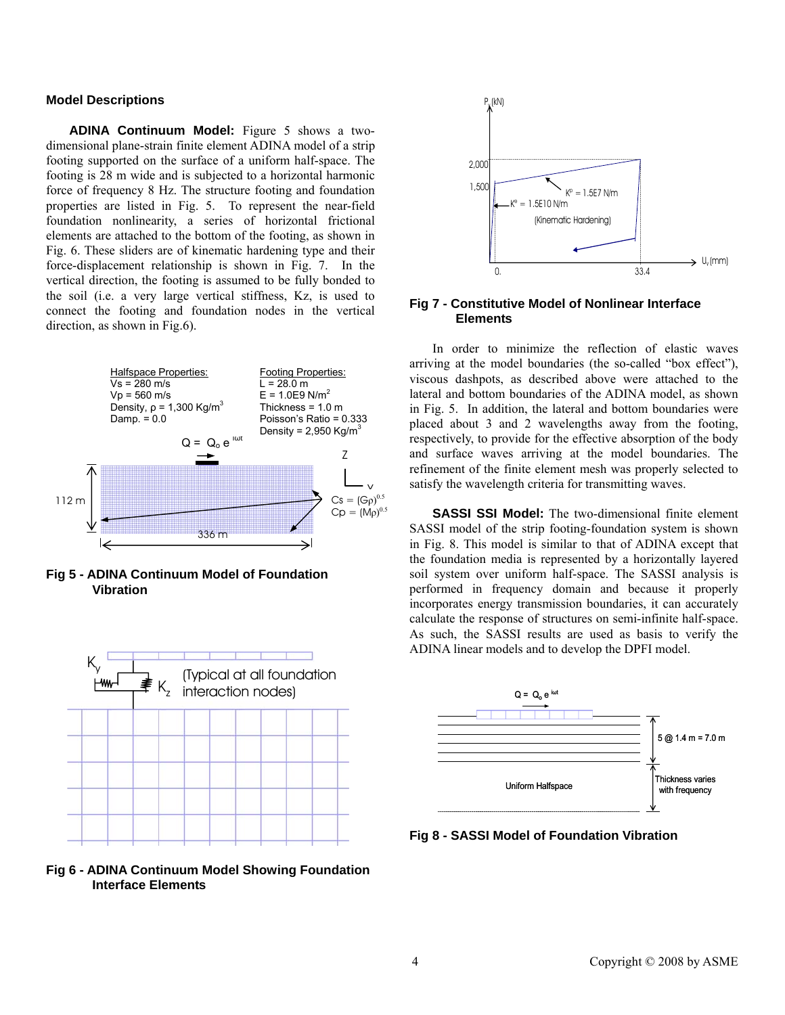# **Model Descriptions**

**ADINA Continuum Model:** Figure 5 shows a twodimensional plane-strain finite element ADINA model of a strip footing supported on the surface of a uniform half-space. The footing is 28 m wide and is subjected to a horizontal harmonic force of frequency 8 Hz. The structure footing and foundation properties are listed in Fig. 5. To represent the near-field foundation nonlinearity, a series of horizontal frictional elements are attached to the bottom of the footing, as shown in Fig. 6. These sliders are of kinematic hardening type and their force-displacement relationship is shown in Fig. 7. In the vertical direction, the footing is assumed to be fully bonded to the soil (i.e. a very large vertical stiffness, Kz, is used to connect the footing and foundation nodes in the vertical direction, as shown in Fig.6).



**Fig 5 - ADINA Continuum Model of Foundation Vibration** 







# **Fig 7 - Constitutive Model of Nonlinear Interface Elements**

In order to minimize the reflection of elastic waves arriving at the model boundaries (the so-called "box effect"), viscous dashpots, as described above were attached to the lateral and bottom boundaries of the ADINA model, as shown in Fig. 5. In addition, the lateral and bottom boundaries were placed about 3 and 2 wavelengths away from the footing, respectively, to provide for the effective absorption of the body and surface waves arriving at the model boundaries. The refinement of the finite element mesh was properly selected to satisfy the wavelength criteria for transmitting waves.

**SASSI SSI Model:** The two-dimensional finite element SASSI model of the strip footing-foundation system is shown in Fig. 8. This model is similar to that of ADINA except that the foundation media is represented by a horizontally layered soil system over uniform half-space. The SASSI analysis is performed in frequency domain and because it properly incorporates energy transmission boundaries, it can accurately calculate the response of structures on semi-infinite half-space. As such, the SASSI results are used as basis to verify the ADINA linear models and to develop the DPFI model.



**Fig 8 - SASSI Model of Foundation Vibration**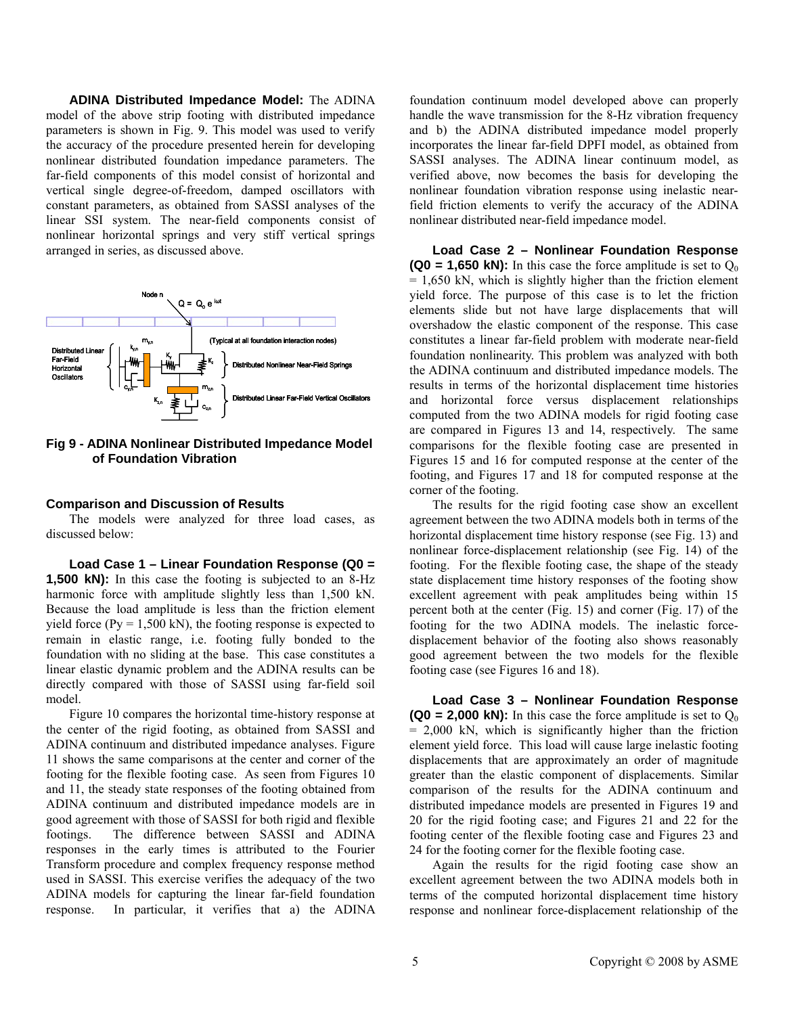**ADINA Distributed Impedance Model:** The ADINA model of the above strip footing with distributed impedance parameters is shown in Fig. 9. This model was used to verify the accuracy of the procedure presented herein for developing nonlinear distributed foundation impedance parameters. The far-field components of this model consist of horizontal and vertical single degree-of-freedom, damped oscillators with constant parameters, as obtained from SASSI analyses of the linear SSI system. The near-field components consist of nonlinear horizontal springs and very stiff vertical springs arranged in series, as discussed above.



**Fig 9 - ADINA Nonlinear Distributed Impedance Model of Foundation Vibration** 

#### **Comparison and Discussion of Results**

The models were analyzed for three load cases, as discussed below:

**Load Case 1 – Linear Foundation Response (Q0 = 1,500 kN):** In this case the footing is subjected to an 8-Hz harmonic force with amplitude slightly less than 1,500 kN. Because the load amplitude is less than the friction element yield force ( $Py = 1,500$  kN), the footing response is expected to remain in elastic range, i.e. footing fully bonded to the foundation with no sliding at the base. This case constitutes a linear elastic dynamic problem and the ADINA results can be directly compared with those of SASSI using far-field soil model.

Figure 10 compares the horizontal time-history response at the center of the rigid footing, as obtained from SASSI and ADINA continuum and distributed impedance analyses. Figure 11 shows the same comparisons at the center and corner of the footing for the flexible footing case. As seen from Figures 10 and 11, the steady state responses of the footing obtained from ADINA continuum and distributed impedance models are in good agreement with those of SASSI for both rigid and flexible footings. The difference between SASSI and ADINA responses in the early times is attributed to the Fourier Transform procedure and complex frequency response method used in SASSI. This exercise verifies the adequacy of the two ADINA models for capturing the linear far-field foundation response. In particular, it verifies that a) the ADINA

foundation continuum model developed above can properly handle the wave transmission for the 8-Hz vibration frequency and b) the ADINA distributed impedance model properly incorporates the linear far-field DPFI model, as obtained from SASSI analyses. The ADINA linear continuum model, as verified above, now becomes the basis for developing the nonlinear foundation vibration response using inelastic nearfield friction elements to verify the accuracy of the ADINA nonlinear distributed near-field impedance model.

**Load Case 2 – Nonlinear Foundation Response (Q0 = 1,650 kN):** In this case the force amplitude is set to  $O<sub>0</sub>$  $= 1,650$  kN, which is slightly higher than the friction element yield force. The purpose of this case is to let the friction elements slide but not have large displacements that will overshadow the elastic component of the response. This case constitutes a linear far-field problem with moderate near-field foundation nonlinearity. This problem was analyzed with both the ADINA continuum and distributed impedance models. The results in terms of the horizontal displacement time histories and horizontal force versus displacement relationships computed from the two ADINA models for rigid footing case are compared in Figures 13 and 14, respectively. The same comparisons for the flexible footing case are presented in Figures 15 and 16 for computed response at the center of the footing, and Figures 17 and 18 for computed response at the corner of the footing.

The results for the rigid footing case show an excellent agreement between the two ADINA models both in terms of the horizontal displacement time history response (see Fig. 13) and nonlinear force-displacement relationship (see Fig. 14) of the footing. For the flexible footing case, the shape of the steady state displacement time history responses of the footing show excellent agreement with peak amplitudes being within 15 percent both at the center (Fig. 15) and corner (Fig. 17) of the footing for the two ADINA models. The inelastic forcedisplacement behavior of the footing also shows reasonably good agreement between the two models for the flexible footing case (see Figures 16 and 18).

**Load Case 3 – Nonlinear Foundation Response (Q0 = 2,000 kN):** In this case the force amplitude is set to  $O<sub>0</sub>$  $= 2,000$  kN, which is significantly higher than the friction element yield force. This load will cause large inelastic footing displacements that are approximately an order of magnitude greater than the elastic component of displacements. Similar comparison of the results for the ADINA continuum and distributed impedance models are presented in Figures 19 and 20 for the rigid footing case; and Figures 21 and 22 for the footing center of the flexible footing case and Figures 23 and 24 for the footing corner for the flexible footing case.

Again the results for the rigid footing case show an excellent agreement between the two ADINA models both in terms of the computed horizontal displacement time history response and nonlinear force-displacement relationship of the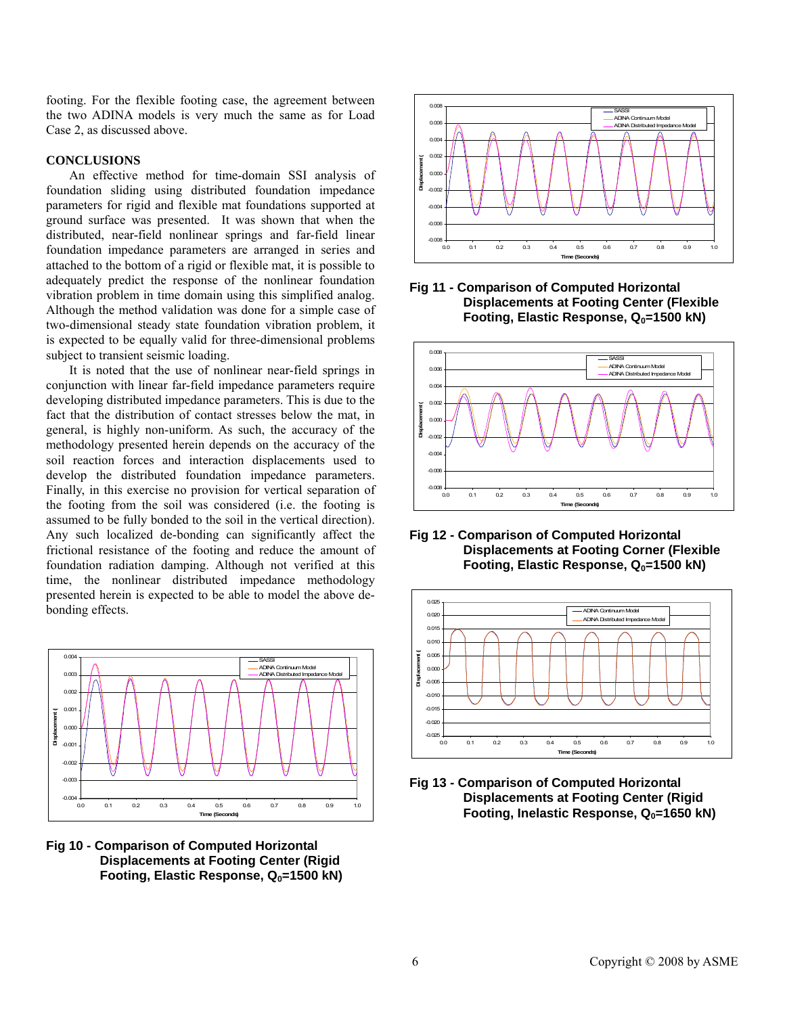footing. For the flexible footing case, the agreement between the two ADINA models is very much the same as for Load Case 2, as discussed above.

# **CONCLUSIONS**

An effective method for time-domain SSI analysis of foundation sliding using distributed foundation impedance parameters for rigid and flexible mat foundations supported at ground surface was presented. It was shown that when the distributed, near-field nonlinear springs and far-field linear foundation impedance parameters are arranged in series and attached to the bottom of a rigid or flexible mat, it is possible to adequately predict the response of the nonlinear foundation vibration problem in time domain using this simplified analog. Although the method validation was done for a simple case of two-dimensional steady state foundation vibration problem, it is expected to be equally valid for three-dimensional problems subject to transient seismic loading.

It is noted that the use of nonlinear near-field springs in conjunction with linear far-field impedance parameters require developing distributed impedance parameters. This is due to the fact that the distribution of contact stresses below the mat, in general, is highly non-uniform. As such, the accuracy of the methodology presented herein depends on the accuracy of the soil reaction forces and interaction displacements used to develop the distributed foundation impedance parameters. Finally, in this exercise no provision for vertical separation of the footing from the soil was considered (i.e. the footing is assumed to be fully bonded to the soil in the vertical direction). Any such localized de-bonding can significantly affect the frictional resistance of the footing and reduce the amount of foundation radiation damping. Although not verified at this time, the nonlinear distributed impedance methodology presented herein is expected to be able to model the above debonding effects.







**Fig 11 - Comparison of Computed Horizontal Displacements at Footing Center (Flexible Footing, Elastic Response, Q<sub>0</sub>=1500 kN)** 



**Fig 12 - Comparison of Computed Horizontal Displacements at Footing Corner (Flexible Footing, Elastic Response, Q<sub>0</sub>=1500 kN)** 



**Fig 13 - Comparison of Computed Horizontal Displacements at Footing Center (Rigid**  Footing, Inelastic Response, Q<sub>0</sub>=1650 kN)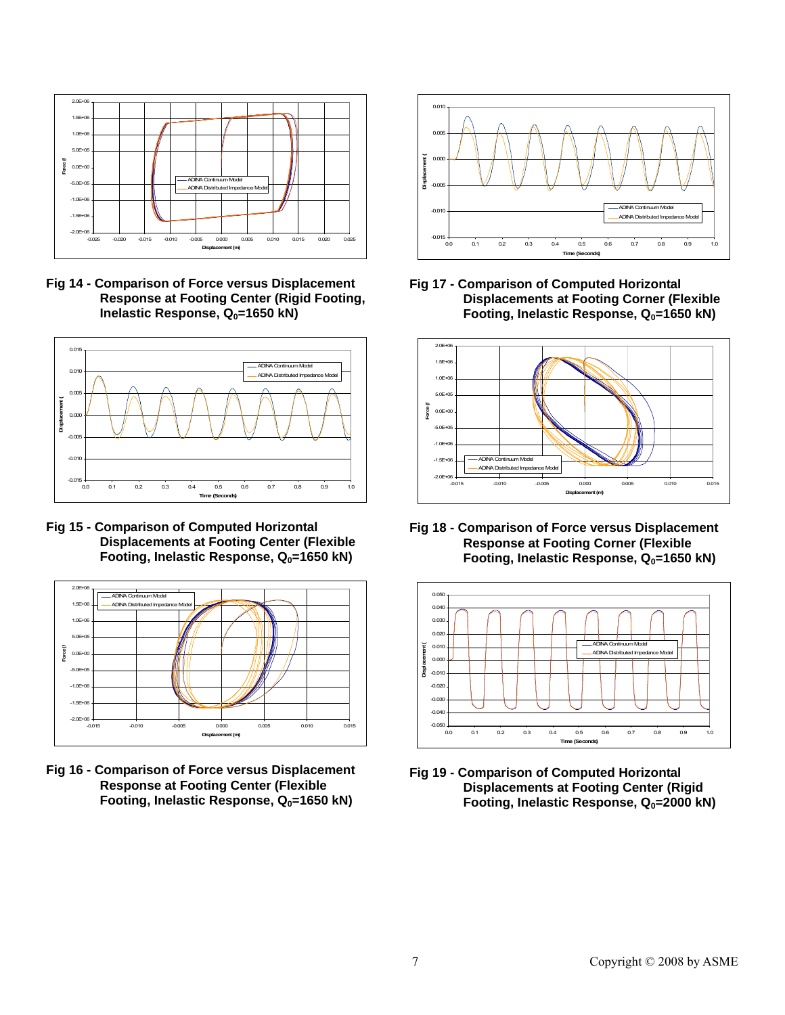

**Fig 14 - Comparison of Force versus Displacement Response at Footing Center (Rigid Footing, Inelastic Response, Q<sub>0</sub>=1650 kN)** 



**Fig 15 - Comparison of Computed Horizontal Displacements at Footing Center (Flexible**  Footing, Inelastic Response, Q<sub>0</sub>=1650 kN)



**Fig 16 - Comparison of Force versus Displacement Response at Footing Center (Flexible**  Footing, Inelastic Response, Q<sub>0</sub>=1650 kN)



**Fig 17 - Comparison of Computed Horizontal Displacements at Footing Corner (Flexible**  Footing, Inelastic Response, Q<sub>0</sub>=1650 kN)



**Fig 18 - Comparison of Force versus Displacement Response at Footing Corner (Flexible**  Footing, Inelastic Response, Q<sub>0</sub>=1650 kN)



**Fig 19 - Comparison of Computed Horizontal Displacements at Footing Center (Rigid**  Footing, Inelastic Response, Q<sub>0</sub>=2000 kN)